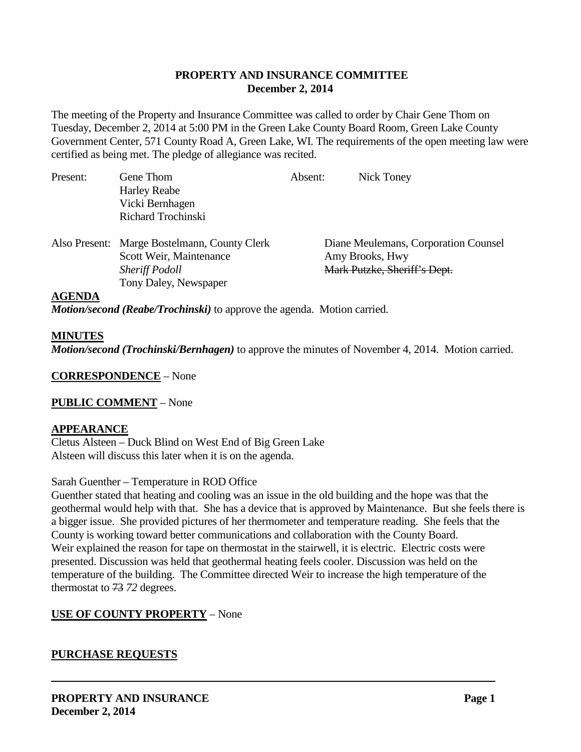### **PROPERTY AND INSURANCE COMMITTEE December 2, 2014**

The meeting of the Property and Insurance Committee was called to order by Chair Gene Thom on Tuesday, December 2, 2014 at 5:00 PM in the Green Lake County Board Room, Green Lake County Government Center, 571 County Road A, Green Lake, WI. The requirements of the open meeting law were certified as being met. The pledge of allegiance was recited.

| Present:      | Gene Thom                                    | Absent: | Nick Toney                           |
|---------------|----------------------------------------------|---------|--------------------------------------|
|               | <b>Harley Reabe</b>                          |         |                                      |
|               | Vicki Bernhagen                              |         |                                      |
|               | Richard Trochinski                           |         |                                      |
|               | Also Present: Marge Bostelmann, County Clerk |         | Diane Meulemans, Corporation Counsel |
|               | Scott Weir, Maintenance                      |         | Amy Brooks, Hwy                      |
|               | <b>Sheriff Podoll</b>                        |         | Mark Putzke, Sheriff's Dept.         |
|               | Tony Daley, Newspaper                        |         |                                      |
| <b>AGENDA</b> |                                              |         |                                      |

*Motion/second (Reabe/Trochinski)* to approve the agenda. Motion carried.

#### **MINUTES**

*Motion/second (Trochinski/Bernhagen)* to approve the minutes of November 4, 2014. Motion carried.

**CORRESPONDENCE** – None

#### **PUBLIC COMMENT** – None

#### **APPEARANCE**

Cletus Alsteen – Duck Blind on West End of Big Green Lake Alsteen will discuss this later when it is on the agenda.

#### Sarah Guenther – Temperature in ROD Office

Guenther stated that heating and cooling was an issue in the old building and the hope was that the geothermal would help with that. She has a device that is approved by Maintenance. But she feels there is a bigger issue. She provided pictures of her thermometer and temperature reading. She feels that the County is working toward better communications and collaboration with the County Board. Weir explained the reason for tape on thermostat in the stairwell, it is electric. Electric costs were presented. Discussion was held that geothermal heating feels cooler. Discussion was held on the temperature of the building. The Committee directed Weir to increase the high temperature of the thermostat to 73 *72* degrees.

#### **USE OF COUNTY PROPERTY** – None

#### **PURCHASE REQUESTS**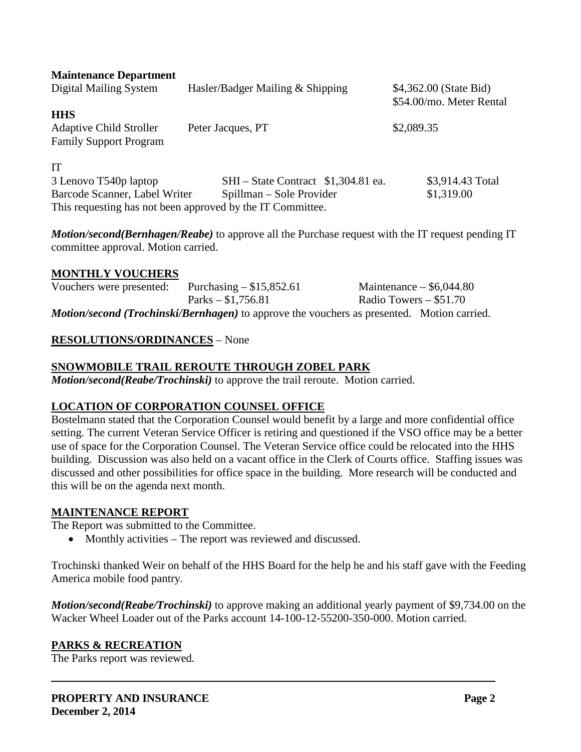| <b>Maintenance Department</b><br>Digital Mailing System                       | Hasler/Badger Mailing & Shipping                           | \$4,362.00 (State Bid)<br>\$54.00/mo. Meter Rental |
|-------------------------------------------------------------------------------|------------------------------------------------------------|----------------------------------------------------|
| <b>HHS</b><br><b>Adaptive Child Stroller</b><br><b>Family Support Program</b> | Peter Jacques, PT                                          | \$2,089.35                                         |
| IT                                                                            |                                                            |                                                    |
| 3 Lenovo T540p laptop                                                         | SHI – State Contract \$1,304.81 ea.                        | \$3,914.43 Total                                   |
| Barcode Scanner, Label Writer                                                 | Spillman – Sole Provider                                   | \$1,319.00                                         |
|                                                                               | This requesting has not been approved by the IT Committee. |                                                    |

*Motion/second(Bernhagen/Reabe)* to approve all the Purchase request with the IT request pending IT committee approval. Motion carried.

#### **MONTHLY VOUCHERS**

Vouchers were presented: Purchasing – \$15,852.61 Maintenance – \$6,044.80 Parks – \$1,756.81 Radio Towers – \$51.70 *Motion/second (Trochinski/Bernhagen)* to approve the vouchers as presented. Motion carried.

#### **RESOLUTIONS/ORDINANCES** – None

#### **SNOWMOBILE TRAIL REROUTE THROUGH ZOBEL PARK**

*Motion/second(Reabe/Trochinski)* to approve the trail reroute. Motion carried.

#### **LOCATION OF CORPORATION COUNSEL OFFICE**

Bostelmann stated that the Corporation Counsel would benefit by a large and more confidential office setting. The current Veteran Service Officer is retiring and questioned if the VSO office may be a better use of space for the Corporation Counsel. The Veteran Service office could be relocated into the HHS building. Discussion was also held on a vacant office in the Clerk of Courts office. Staffing issues was discussed and other possibilities for office space in the building. More research will be conducted and this will be on the agenda next month.

#### **MAINTENANCE REPORT**

The Report was submitted to the Committee.

• Monthly activities – The report was reviewed and discussed.

Trochinski thanked Weir on behalf of the HHS Board for the help he and his staff gave with the Feeding America mobile food pantry.

*Motion/second(Reabe/Trochinski)* to approve making an additional yearly payment of \$9,734.00 on the Wacker Wheel Loader out of the Parks account 14-100-12-55200-350-000. Motion carried.

#### **PARKS & RECREATION**

The Parks report was reviewed.